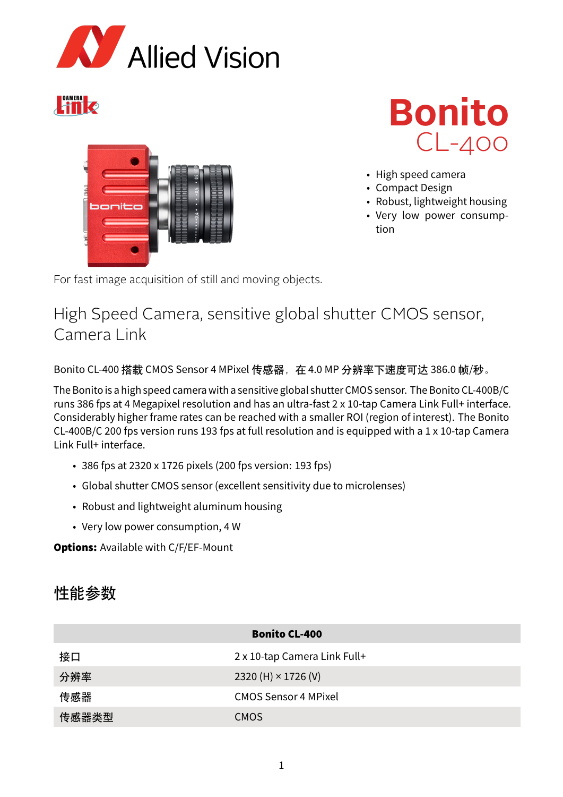

# Link





- High speed camera
- Compact Design
- Robust, lightweight housing
- Very low power consumption

For fast image acquisition of still and moving objects.

## High Speed Camera, sensitive global shutter CMOS sensor, Camera Link

Bonito CL-400 搭载 CMOS Sensor 4 MPixel 传感器, 在 4.0 MP 分辨率下速度可达 386.0 帧/秒。

The Bonito is a high speed camera with a sensitive global shutter CMOS sensor. The Bonito CL-400B/C runs 386 fps at 4 Megapixel resolution and has an ultra-fast 2 x 10-tap Camera Link Full+ interface. Considerably higher frame rates can be reached with a smaller ROI (region of interest). The Bonito CL-400B/C 200 fps version runs 193 fps at full resolution and is equipped with a 1 x 10-tap Camera Link Full+ interface.

- 386 fps at 2320 x 1726 pixels (200 fps version: 193 fps)
- Global shutter CMOS sensor (excellent sensitivity due to microlenses)
- Robust and lightweight aluminum housing
- Very low power consumption, 4 W

**Options: Available with C/F/EF-Mount** 

### 性能参数

| <b>Bonito CL-400</b> |                              |
|----------------------|------------------------------|
| 接口                   | 2 x 10-tap Camera Link Full+ |
| 分辨率                  | 2320 (H) $\times$ 1726 (V)   |
| 传感器                  | <b>CMOS Sensor 4 MPixel</b>  |
| 传感器类型                | <b>CMOS</b>                  |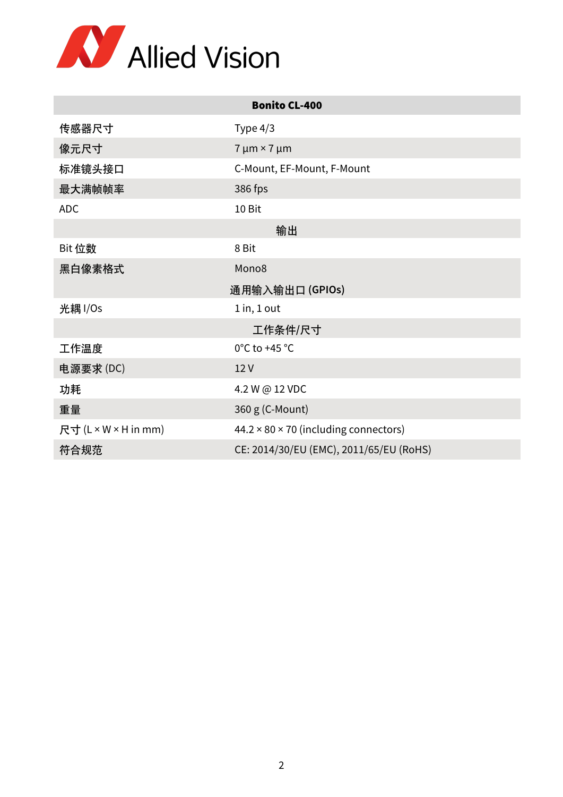

| <b>Bonito CL-400</b> |                                                   |
|----------------------|---------------------------------------------------|
| 传感器尺寸                | Type $4/3$                                        |
| 像元尺寸                 | $7 \mu m \times 7 \mu m$                          |
| 标准镜头接口               | C-Mount, EF-Mount, F-Mount                        |
| 最大满帧帧率               | 386 fps                                           |
| <b>ADC</b>           | 10 Bit                                            |
|                      | 输出                                                |
| Bit 位数               | 8 Bit                                             |
| 黑白像素格式               | Mono8                                             |
| 通用输入输出口(GPIOs)       |                                                   |
| 光耦 I/Os              | $1$ in, $1$ out                                   |
|                      | 工作条件/尺寸                                           |
| 工作温度                 | 0°C to +45 °C                                     |
| 电源要求(DC)             | 12V                                               |
| 功耗                   | 4.2 W @ 12 VDC                                    |
| 重量                   | 360 g (C-Mount)                                   |
| 尺寸 (L × W × H in mm) | $44.2 \times 80 \times 70$ (including connectors) |
| 符合规范                 | CE: 2014/30/EU (EMC), 2011/65/EU (RoHS)           |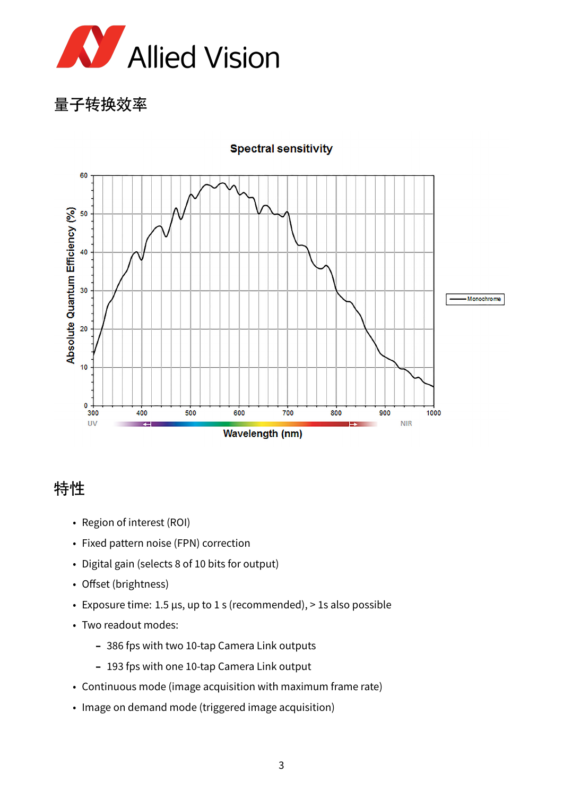

量子转换效率



#### **Spectral sensitivity**

### 特性

- Region of interest (ROI)
- Fixed pattern noise (FPN) correction
- Digital gain (selects 8 of 10 bits for output)
- Offset (brightness)
- Exposure time: 1.5 µs, up to 1 s (recommended), > 1s also possible
- Two readout modes:
	- 386 fps with two 10-tap Camera Link outputs
	- 193 fps with one 10-tap Camera Link output
- Continuous mode (image acquisition with maximum frame rate)
- Image on demand mode (triggered image acquisition)